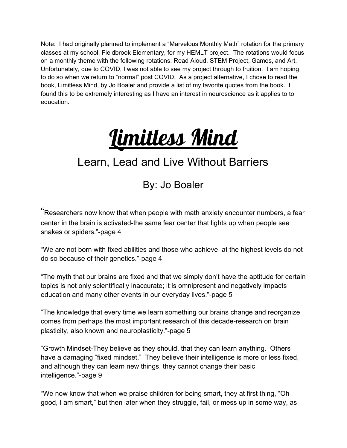Note: I had originally planned to implement a "Marvelous Monthly Math" rotation for the primary classes at my school, Fieldbrook Elementary, for my HEMLT project. The rotations would focus on a monthly theme with the following rotations: Read Aloud, STEM Project, Games, and Art. Unfortunately, due to COVID, I was not able to see my project through to fruition. I am hoping to do so when we return to "normal" post COVID. As a project alternative, I chose to read the book, Limitless Mind, by Jo Boaler and provide a list of my favorite quotes from the book. I found this to be extremely interesting as I have an interest in neuroscience as it applies to to education.



# Learn, Lead and Live Without Barriers

# By: Jo Boaler

"Researchers now know that when people with math anxiety encounter numbers, a fear center in the brain is activated-the same fear center that lights up when people see snakes or spiders."-page 4

"We are not born with fixed abilities and those who achieve at the highest levels do not do so because of their genetics."-page 4

"The myth that our brains are fixed and that we simply don't have the aptitude for certain topics is not only scientifically inaccurate; it is omnipresent and negatively impacts education and many other events in our everyday lives."-page 5

"The knowledge that every time we learn something our brains change and reorganize comes from perhaps the most important research of this decade-research on brain plasticity, also known and neuroplasticity."-page 5

"Growth Mindset-They believe as they should, that they can learn anything. Others have a damaging "fixed mindset." They believe their intelligence is more or less fixed, and although they can learn new things, they cannot change their basic intelligence."-page 9

"We now know that when we praise children for being smart, they at first thing, "Oh good, I am smart," but then later when they struggle, fail, or mess up in some way, as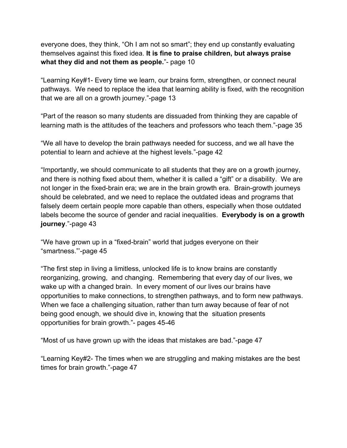everyone does, they think, "Oh I am not so smart"; they end up constantly evaluating themselves against this fixed idea. **It is fine to praise children, but always praise what they did and not them as people.**"- page 10

"Learning Key#1- Every time we learn, our brains form, strengthen, or connect neural pathways. We need to replace the idea that learning ability is fixed, with the recognition that we are all on a growth journey."-page 13

"Part of the reason so many students are dissuaded from thinking they are capable of learning math is the attitudes of the teachers and professors who teach them."-page 35

"We all have to develop the brain pathways needed for success, and we all have the potential to learn and achieve at the highest levels."-page 42

"Importantly, we should communicate to all students that they are on a growth journey, and there is nothing fixed about them, whether it is called a "gift" or a disability. We are not longer in the fixed-brain era; we are in the brain growth era. Brain-growth journeys should be celebrated, and we need to replace the outdated ideas and programs that falsely deem certain people more capable than others, especially when those outdated labels become the source of gender and racial inequalities. **Everybody is on a growth journey**."-page 43

"We have grown up in a "fixed-brain" world that judges everyone on their "smartness."'-page 45

"The first step in living a limitless, unlocked life is to know brains are constantly reorganizing, growing, and changing. Remembering that every day of our lives, we wake up with a changed brain. In every moment of our lives our brains have opportunities to make connections, to strengthen pathways, and to form new pathways. When we face a challenging situation, rather than turn away because of fear of not being good enough, we should dive in, knowing that the situation presents opportunities for brain growth."- pages 45-46

"Most of us have grown up with the ideas that mistakes are bad."-page 47

"Learning Key#2- The times when we are struggling and making mistakes are the best times for brain growth."-page 47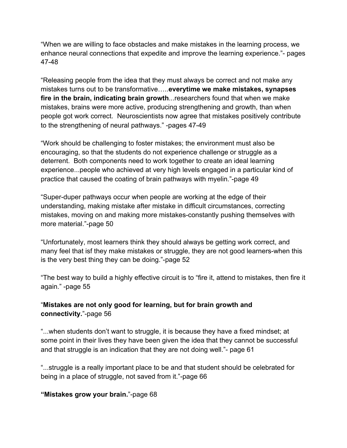"When we are willing to face obstacles and make mistakes in the learning process, we enhance neural connections that expedite and improve the learning experience."- pages 47-48

"Releasing people from the idea that they must always be correct and not make any mistakes turns out to be transformative…..**everytime we make mistakes, synapses fire in the brain, indicating brain growth**...researchers found that when we make mistakes, brains were more active, producing strengthening and growth, than when people got work correct. Neuroscientists now agree that mistakes positively contribute to the strengthening of neural pathways." -pages 47-49

"Work should be challenging to foster mistakes; the environment must also be encouraging, so that the students do not experience challenge or struggle as a deterrent. Both components need to work together to create an ideal learning experience...people who achieved at very high levels engaged in a particular kind of practice that caused the coating of brain pathways with myelin."-page 49

"Super-duper pathways occur when people are working at the edge of their understanding, making mistake after mistake in difficult circumstances, correcting mistakes, moving on and making more mistakes-constantly pushing themselves with more material."-page 50

"Unfortunately, most learners think they should always be getting work correct, and many feel that isf they make mistakes or struggle, they are not good learners-when this is the very best thing they can be doing."-page 52

"The best way to build a highly effective circuit is to "fire it, attend to mistakes, then fire it again." -page 55

## "**Mistakes are not only good for learning, but for brain growth and connectivity.**"-page 56

"...when students don't want to struggle, it is because they have a fixed mindset; at some point in their lives they have been given the idea that they cannot be successful and that struggle is an indication that they are not doing well."- page 61

"...struggle is a really important place to be and that student should be celebrated for being in a place of struggle, not saved from it."-page 66

#### **"Mistakes grow your brain.**"-page 68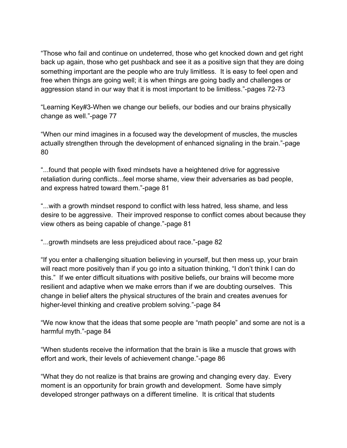"Those who fail and continue on undeterred, those who get knocked down and get right back up again, those who get pushback and see it as a positive sign that they are doing something important are the people who are truly limitless. It is easy to feel open and free when things are going well; it is when things are going badly and challenges or aggression stand in our way that it is most important to be limitless."-pages 72-73

"Learning Key#3-When we change our beliefs, our bodies and our brains physically change as well."-page 77

"When our mind imagines in a focused way the development of muscles, the muscles actually strengthen through the development of enhanced signaling in the brain."-page 80

"...found that people with fixed mindsets have a heightened drive for aggressive retaliation during conflicts...feel morse shame, view their adversaries as bad people, and express hatred toward them."-page 81

"...with a growth mindset respond to conflict with less hatred, less shame, and less desire to be aggressive. Their improved response to conflict comes about because they view others as being capable of change."-page 81

"...growth mindsets are less prejudiced about race."-page 82

"If you enter a challenging situation believing in yourself, but then mess up, your brain will react more positively than if you go into a situation thinking, "I don't think I can do this." If we enter difficult situations with positive beliefs, our brains will become more resilient and adaptive when we make errors than if we are doubting ourselves. This change in belief alters the physical structures of the brain and creates avenues for higher-level thinking and creative problem solving."-page 84

"We now know that the ideas that some people are "math people" and some are not is a harmful myth."-page 84

"When students receive the information that the brain is like a muscle that grows with effort and work, their levels of achievement change."-page 86

"What they do not realize is that brains are growing and changing every day. Every moment is an opportunity for brain growth and development. Some have simply developed stronger pathways on a different timeline. It is critical that students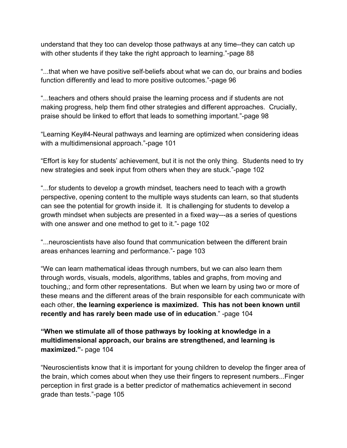understand that they too can develop those pathways at any time--they can catch up with other students if they take the right approach to learning."-page 88

"...that when we have positive self-beliefs about what we can do, our brains and bodies function differently and lead to more positive outcomes."-page 96

"...teachers and others should praise the learning process and if students are not making progress, help them find other strategies and different approaches. Crucially, praise should be linked to effort that leads to something important."-page 98

"Learning Key#4-Neural pathways and learning are optimized when considering ideas with a multidimensional approach."-page 101

"Effort is key for students' achievement, but it is not the only thing. Students need to try new strategies and seek input from others when they are stuck."-page 102

"...for students to develop a growth mindset, teachers need to teach with a growth perspective, opening content to the multiple ways students can learn, so that students can see the potential for growth inside it. It is challenging for students to develop a growth mindset when subjects are presented in a fixed way---as a series of questions with one answer and one method to get to it."- page 102

"...neuroscientists have also found that communication between the different brain areas enhances learning and performance."- page 103

"We can learn mathematical ideas through numbers, but we can also learn them through words, visuals, models, algorithms, tables and graphs, from moving and touching,; and form other representations. But when we learn by using two or more of these means and the different areas of the brain responsible for each communicate with each other, **the learning experience is maximized. This has not been known until recently and has rarely been made use of in education**." -page 104

**"When we stimulate all of those pathways by looking at knowledge in a multidimensional approach, our brains are strengthened, and learning is maximized."**- page 104

"Neuroscientists know that it is important for young children to develop the finger area of the brain, which comes about when they use their fingers to represent numbers...Finger perception in first grade is a better predictor of mathematics achievement in second grade than tests."-page 105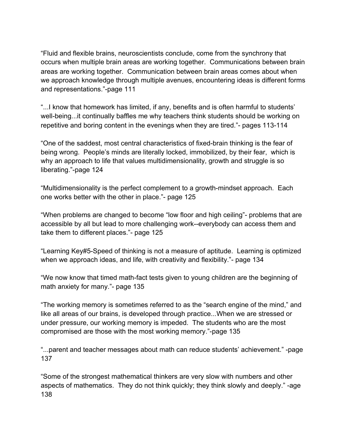"Fluid and flexible brains, neuroscientists conclude, come from the synchrony that occurs when multiple brain areas are working together. Communications between brain areas are working together. Communication between brain areas comes about when we approach knowledge through multiple avenues, encountering ideas is different forms and representations."-page 111

"...I know that homework has limited, if any, benefits and is often harmful to students' well-being...it continually baffles me why teachers think students should be working on repetitive and boring content in the evenings when they are tired."- pages 113-114

"One of the saddest, most central characteristics of fixed-brain thinking is the fear of being wrong. People's minds are literally locked, immobilized, by their fear, which is why an approach to life that values multidimensionality, growth and struggle is so liberating."-page 124

"Multidimensionality is the perfect complement to a growth-mindset approach. Each one works better with the other in place."- page 125

"When problems are changed to become "low floor and high ceiling"- problems that are accessible by all but lead to more challenging work--everybody can access them and take them to different places."- page 125

"Learning Key#5-Speed of thinking is not a measure of aptitude. Learning is optimized when we approach ideas, and life, with creativity and flexibility."- page 134

"We now know that timed math-fact tests given to young children are the beginning of math anxiety for many."- page 135

"The working memory is sometimes referred to as the "search engine of the mind," and like all areas of our brains, is developed through practice...When we are stressed or under pressure, our working memory is impeded. The students who are the most compromised are those with the most working memory."-page 135

"...parent and teacher messages about math can reduce students' achievement." -page 137

"Some of the strongest mathematical thinkers are very slow with numbers and other aspects of mathematics. They do not think quickly; they think slowly and deeply." -age 138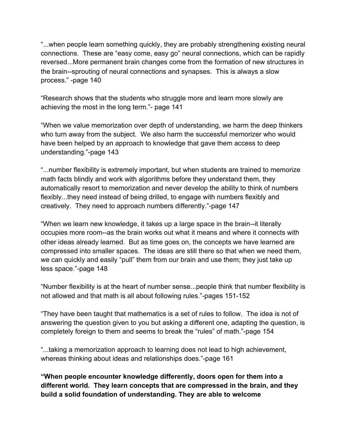"...when people learn something quickly, they are probably strengthening existing neural connections. These are "easy come, easy go" neural connections, which can be rapidly reversed...More permanent brain changes come from the formation of new structures in the brain--sprouting of neural connections and synapses. This is always a slow process." -page 140

"Research shows that the students who struggle more and learn more slowly are achieving the most in the long term."- page 141

"When we value memorization over depth of understanding, we harm the deep thinkers who turn away from the subject. We also harm the successful memorizer who would have been helped by an approach to knowledge that gave them access to deep understanding."-page 143

"...number flexibility is extremely important, but when students are trained to memorize math facts blindly and work with algorithms before they understand them, they automatically resort to memorization and never develop the ability to think of numbers flexibly...they need instead of being drilled, to engage with numbers flexibly and creatively. They need to approach numbers differently."-page 147

"When we learn new knowledge, it takes up a large space in the brain--it literally occupies more room--as the brain works out what it means and where it connects with other ideas already learned. But as time goes on, the concepts we have learned are compressed into smaller spaces. The ideas are still there so that when we need them, we can quickly and easily "pull" them from our brain and use them; they just take up less space."-page 148

"Number flexibility is at the heart of number sense...people think that number flexibility is not allowed and that math is all about following rules."-pages 151-152

"They have been taught that mathematics is a set of rules to follow. The idea is not of answering the question given to you but asking a different one, adapting the question, is completely foreign to them and seems to break the "rules" of math."-page 154

"...taking a memorization approach to learning does not lead to high achievement, whereas thinking about ideas and relationships does."-page 161

**"When people encounter knowledge differently, doors open for them into a different world. They learn concepts that are compressed in the brain, and they build a solid foundation of understanding. They are able to welcome**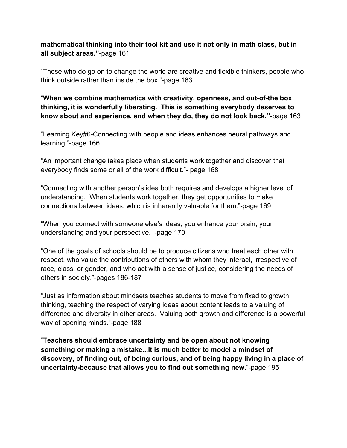### **mathematical thinking into their tool kit and use it not only in math class, but in all subject areas."**-page 161

"Those who do go on to change the world are creative and flexible thinkers, people who think outside rather than inside the box."-page 163

"**When we combine mathematics with creativity, openness, and out-of-the box thinking, it is wonderfully liberating. This is something everybody deserves to know about and experience, and when they do, they do not look back."**-page 163

"Learning Key#6-Connecting with people and ideas enhances neural pathways and learning."-page 166

"An important change takes place when students work together and discover that everybody finds some or all of the work difficult."- page 168

"Connecting with another person's idea both requires and develops a higher level of understanding. When students work together, they get opportunities to make connections between ideas, which is inherently valuable for them."-page 169

"When you connect with someone else's ideas, you enhance your brain, your understanding and your perspective. -page 170

"One of the goals of schools should be to produce citizens who treat each other with respect, who value the contributions of others with whom they interact, irrespective of race, class, or gender, and who act with a sense of justice, considering the needs of others in society."-pages 186-187

"Just as information about mindsets teaches students to move from fixed to growth thinking, teaching the respect of varying ideas about content leads to a valuing of difference and diversity in other areas. Valuing both growth and difference is a powerful way of opening minds."-page 188

"**Teachers should embrace uncertainty and be open about not knowing something or making a mistake...It is much better to model a mindset of discovery, of finding out, of being curious, and of being happy living in a place of uncertainty-because that allows you to find out something new.**"-page 195